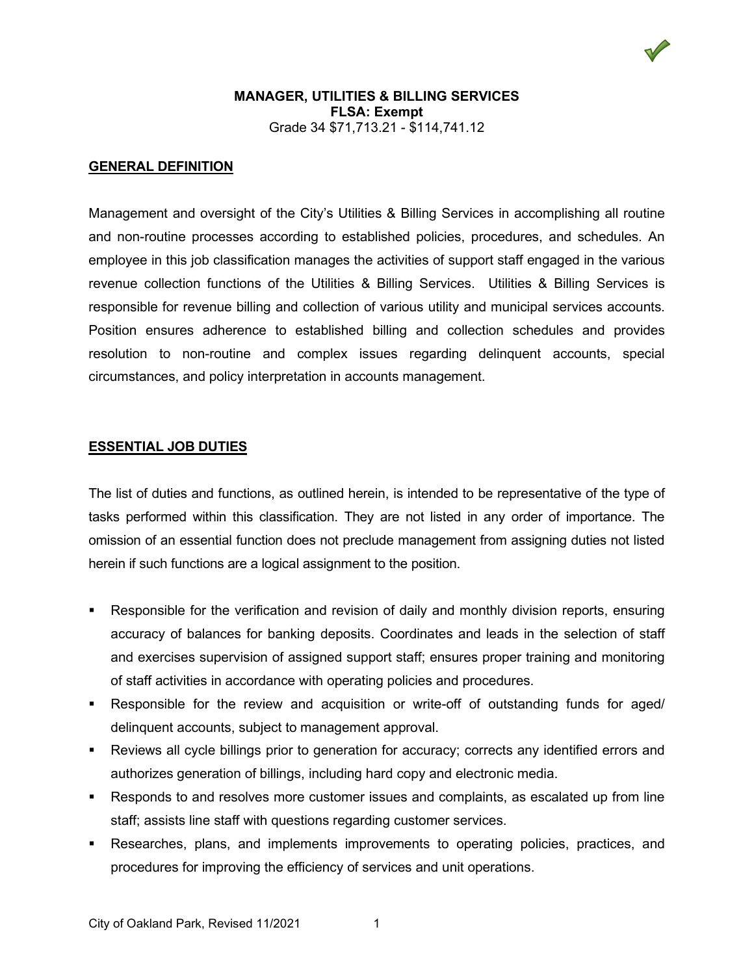

### **MANAGER, UTILITIES & BILLING SERVICES FLSA: Exempt** Grade 34 \$71,713.21 - \$114,741.12

### **GENERAL DEFINITION**

Management and oversight of the City's Utilities & Billing Services in accomplishing all routine and non-routine processes according to established policies, procedures, and schedules. An employee in this job classification manages the activities of support staff engaged in the various revenue collection functions of the Utilities & Billing Services. Utilities & Billing Services is responsible for revenue billing and collection of various utility and municipal services accounts. Position ensures adherence to established billing and collection schedules and provides resolution to non-routine and complex issues regarding delinquent accounts, special circumstances, and policy interpretation in accounts management.

### **ESSENTIAL JOB DUTIES**

The list of duties and functions, as outlined herein, is intended to be representative of the type of tasks performed within this classification. They are not listed in any order of importance. The omission of an essential function does not preclude management from assigning duties not listed herein if such functions are a logical assignment to the position.

- Responsible for the verification and revision of daily and monthly division reports, ensuring accuracy of balances for banking deposits. Coordinates and leads in the selection of staff and exercises supervision of assigned support staff; ensures proper training and monitoring of staff activities in accordance with operating policies and procedures.
- Responsible for the review and acquisition or write-off of outstanding funds for aged/ delinquent accounts, subject to management approval.
- Reviews all cycle billings prior to generation for accuracy; corrects any identified errors and authorizes generation of billings, including hard copy and electronic media.
- Responds to and resolves more customer issues and complaints, as escalated up from line staff; assists line staff with questions regarding customer services.
- Researches, plans, and implements improvements to operating policies, practices, and procedures for improving the efficiency of services and unit operations.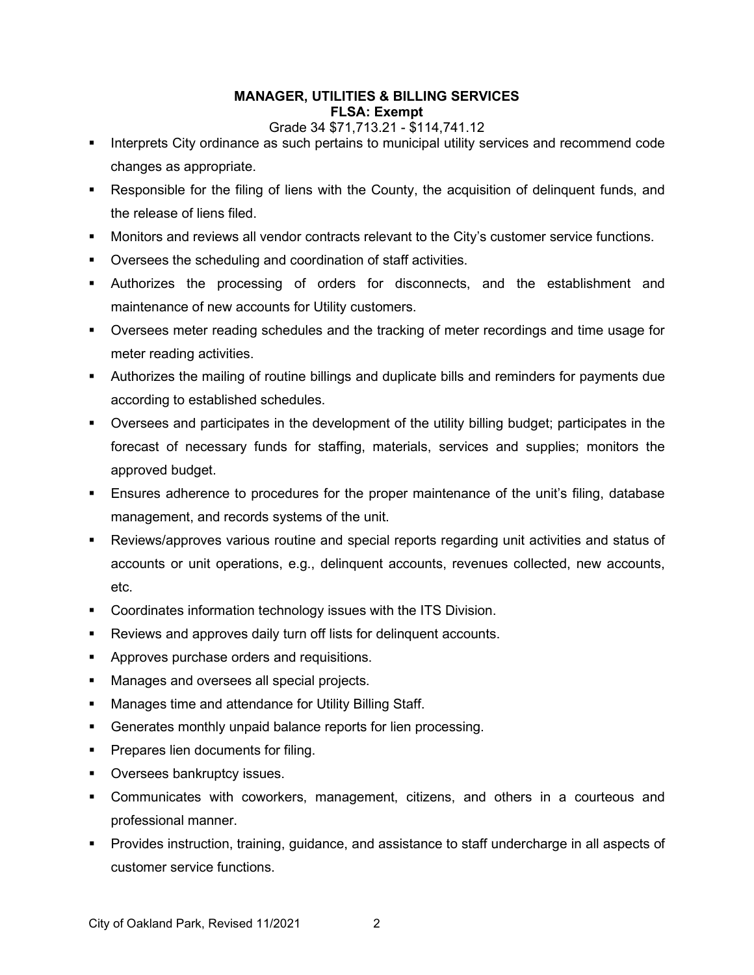## **MANAGER, UTILITIES & BILLING SERVICES FLSA: Exempt**

## Grade 34 \$71,713.21 - \$114,741.12

- **Interprets City ordinance as such pertains to municipal utility services and recommend code** changes as appropriate.
- Responsible for the filing of liens with the County, the acquisition of delinquent funds, and the release of liens filed.
- Monitors and reviews all vendor contracts relevant to the City's customer service functions.
- Oversees the scheduling and coordination of staff activities.
- Authorizes the processing of orders for disconnects, and the establishment and maintenance of new accounts for Utility customers.
- Oversees meter reading schedules and the tracking of meter recordings and time usage for meter reading activities.
- Authorizes the mailing of routine billings and duplicate bills and reminders for payments due according to established schedules.
- Oversees and participates in the development of the utility billing budget; participates in the forecast of necessary funds for staffing, materials, services and supplies; monitors the approved budget.
- Ensures adherence to procedures for the proper maintenance of the unit's filing, database management, and records systems of the unit.
- Reviews/approves various routine and special reports regarding unit activities and status of accounts or unit operations, e.g., delinquent accounts, revenues collected, new accounts, etc.
- **Coordinates information technology issues with the ITS Division.**
- Reviews and approves daily turn off lists for delinquent accounts.
- **Approves purchase orders and requisitions.**
- **Manages and oversees all special projects.**
- **Manages time and attendance for Utility Billing Staff.**
- Generates monthly unpaid balance reports for lien processing.
- **Prepares lien documents for filing.**
- **•** Oversees bankruptcy issues.
- Communicates with coworkers, management, citizens, and others in a courteous and professional manner.
- Provides instruction, training, guidance, and assistance to staff undercharge in all aspects of customer service functions.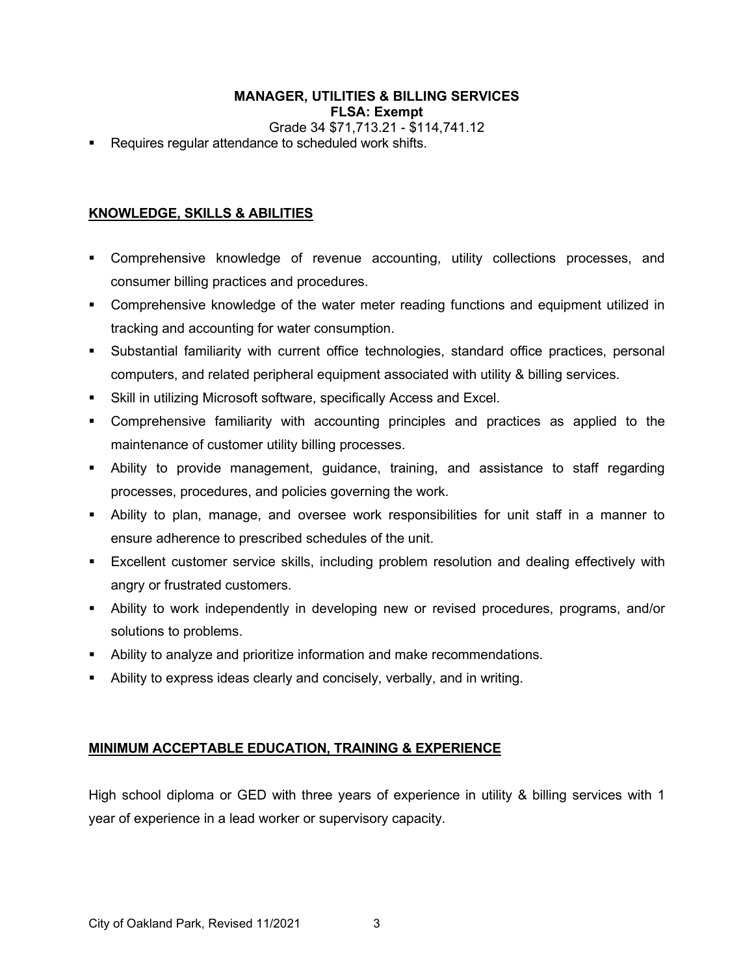## **MANAGER, UTILITIES & BILLING SERVICES FLSA: Exempt**

Grade 34 \$71,713.21 - \$114,741.12

**Requires requiar attendance to scheduled work shifts.** 

# **KNOWLEDGE, SKILLS & ABILITIES**

- Comprehensive knowledge of revenue accounting, utility collections processes, and consumer billing practices and procedures.
- **•** Comprehensive knowledge of the water meter reading functions and equipment utilized in tracking and accounting for water consumption.
- Substantial familiarity with current office technologies, standard office practices, personal computers, and related peripheral equipment associated with utility & billing services.
- Skill in utilizing Microsoft software, specifically Access and Excel.
- Comprehensive familiarity with accounting principles and practices as applied to the maintenance of customer utility billing processes.
- Ability to provide management, guidance, training, and assistance to staff regarding processes, procedures, and policies governing the work.
- Ability to plan, manage, and oversee work responsibilities for unit staff in a manner to ensure adherence to prescribed schedules of the unit.
- **Excellent customer service skills, including problem resolution and dealing effectively with** angry or frustrated customers.
- Ability to work independently in developing new or revised procedures, programs, and/or solutions to problems.
- Ability to analyze and prioritize information and make recommendations.
- Ability to express ideas clearly and concisely, verbally, and in writing.

## **MINIMUM ACCEPTABLE EDUCATION, TRAINING & EXPERIENCE**

High school diploma or GED with three years of experience in utility & billing services with 1 year of experience in a lead worker or supervisory capacity.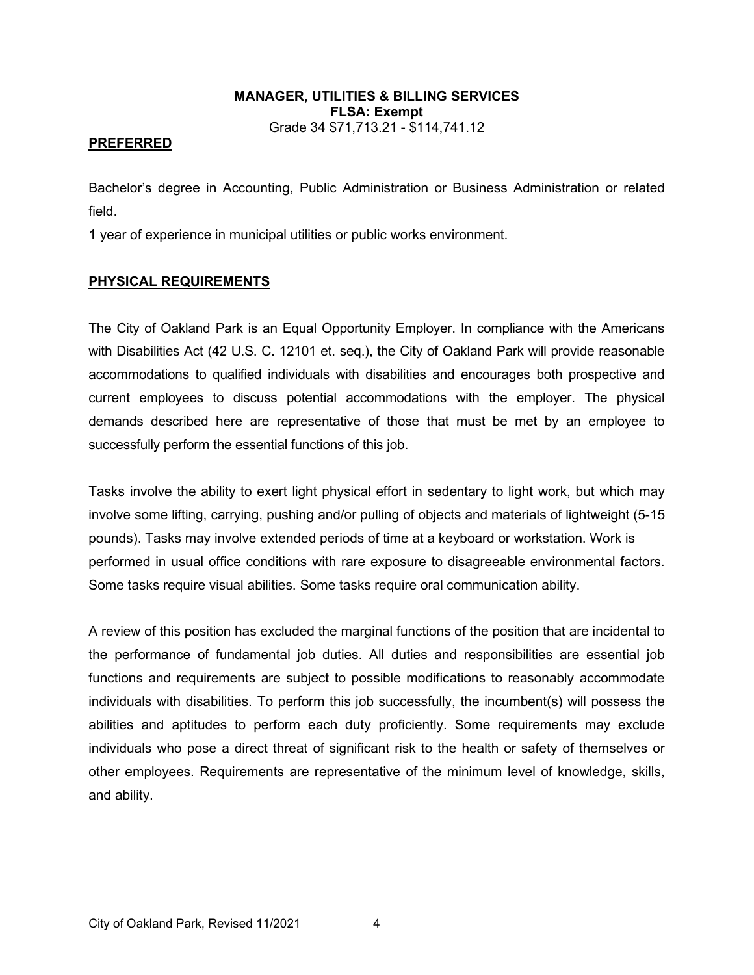## **MANAGER, UTILITIES & BILLING SERVICES FLSA: Exempt** Grade 34 \$71,713.21 - \$114,741.12

### **PREFERRED**

Bachelor's degree in Accounting, Public Administration or Business Administration or related field.

1 year of experience in municipal utilities or public works environment.

## **PHYSICAL REQUIREMENTS**

The City of Oakland Park is an Equal Opportunity Employer. In compliance with the Americans with Disabilities Act (42 U.S. C. 12101 et. seq.), the City of Oakland Park will provide reasonable accommodations to qualified individuals with disabilities and encourages both prospective and current employees to discuss potential accommodations with the employer. The physical demands described here are representative of those that must be met by an employee to successfully perform the essential functions of this job.

Tasks involve the ability to exert light physical effort in sedentary to light work, but which may involve some lifting, carrying, pushing and/or pulling of objects and materials of lightweight (5-15 pounds). Tasks may involve extended periods of time at a keyboard or workstation. Work is performed in usual office conditions with rare exposure to disagreeable environmental factors. Some tasks require visual abilities. Some tasks require oral communication ability.

A review of this position has excluded the marginal functions of the position that are incidental to the performance of fundamental job duties. All duties and responsibilities are essential job functions and requirements are subject to possible modifications to reasonably accommodate individuals with disabilities. To perform this job successfully, the incumbent(s) will possess the abilities and aptitudes to perform each duty proficiently. Some requirements may exclude individuals who pose a direct threat of significant risk to the health or safety of themselves or other employees. Requirements are representative of the minimum level of knowledge, skills, and ability.